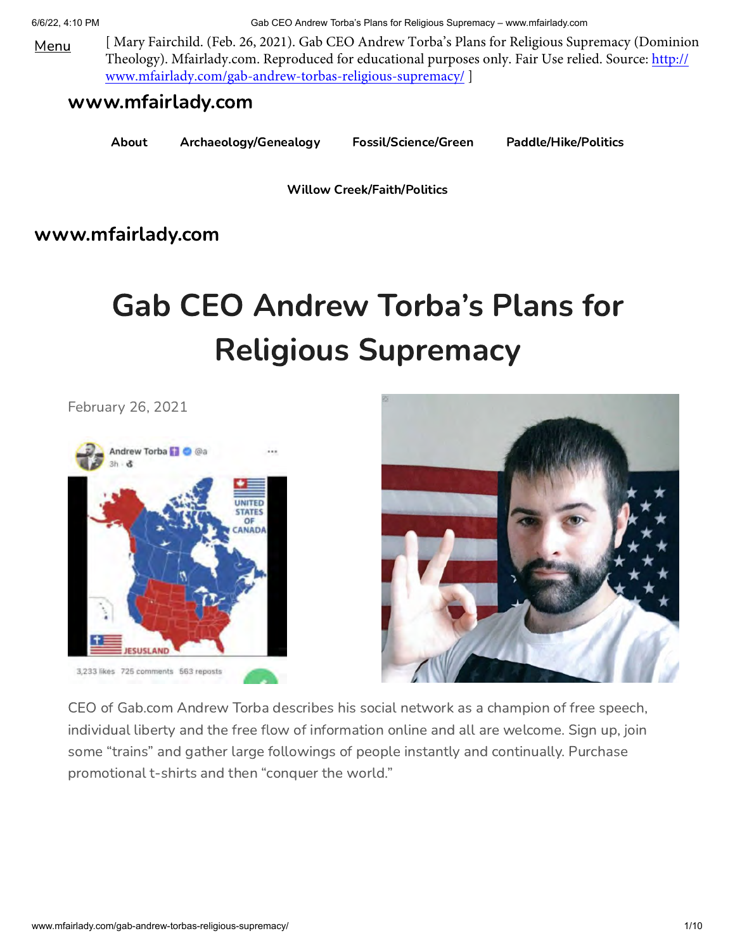Menu [ Mary Fairchild. (Feb. 26, 2021). Gab CEO Andrew Torba's Plans for Religious Supremacy (Dominion [Theology\). Mfairlady.com. Reproduced for educational purposes only. Fair Use relied. Source: http://](http://www.mfairlady.com/gab-andrew-torbas-religious-supremacy/) www.mfairlady.com/gab-andrew-torbas-religious-supremacy/ ]

## [www.mfairlady.com](http://www.mfairlady.com/)

[About](http://www.mfairlady.com/) [Archaeology/Genealogy](http://www.mfairlady.com/archaeologygenealogy/) [Fossil/Science/Green](http://www.mfairlady.com/sciencegreen/) [Paddle/Hike/Politics](http://www.mfairlady.com/paddlehikepolitics/)

[Willow Creek/Faith/Politics](http://www.mfairlady.com/willow-creek-faith-politics/)

## [www.mfairlady.com](http://www.mfairlady.com/)

## Gab CEO Andrew Torba's Plans for Religious Supremacy

[February 26, 2021](http://www.mfairlady.com/gab-andrew-torbas-religious-supremacy/)





CEO of Gab.com Andrew Torba describes his social network as a champion of free speech, individual liberty and the free flow of information online and all are welcome. Sign up, join some "trains" and gather large followings of people instantly and continually. Purchase promotional t-shirts and then "conquer the world."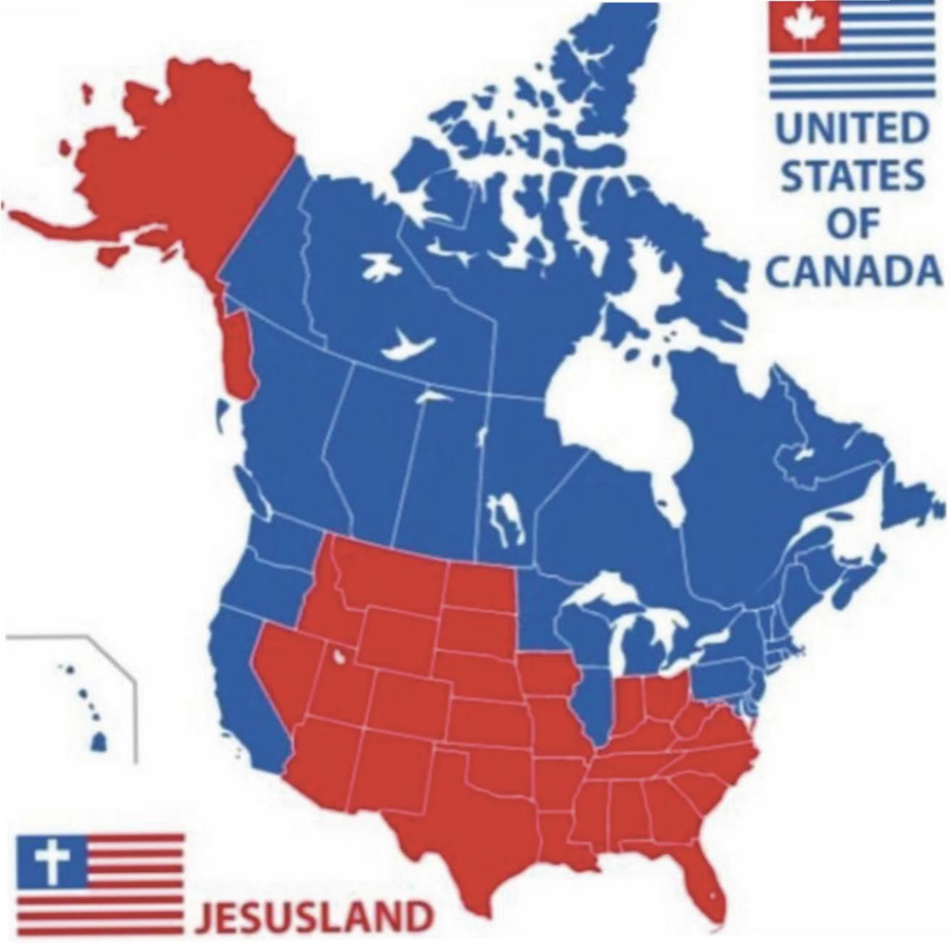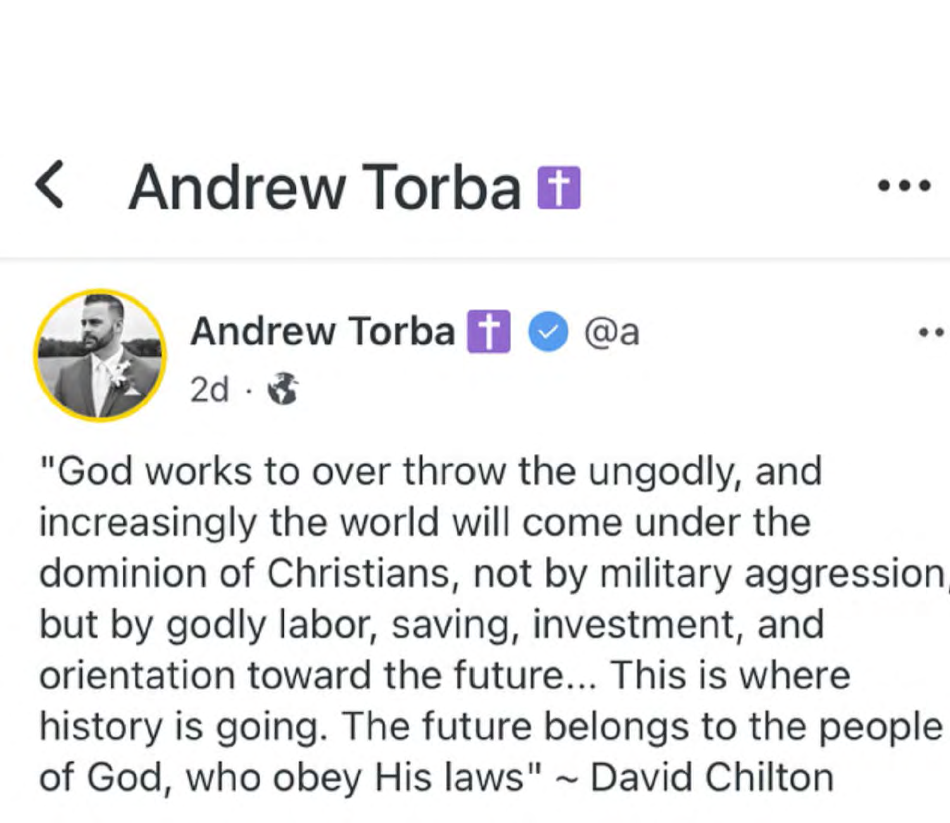# < Andrew Torba <sup>П</sup> •••

••



Andrew Torba **П**  $\odot$  @a  $2d \cdot \mathbf{r}$ 

"God works to over throw the ungodly, and increasingly the world will come under the dominion of Christians, not by military aggression but Ьу godly labor, saving, investment, and orientation toward the future... This is where history is going. The future belongs to the people of God, who obey His laws" ~ David Chilton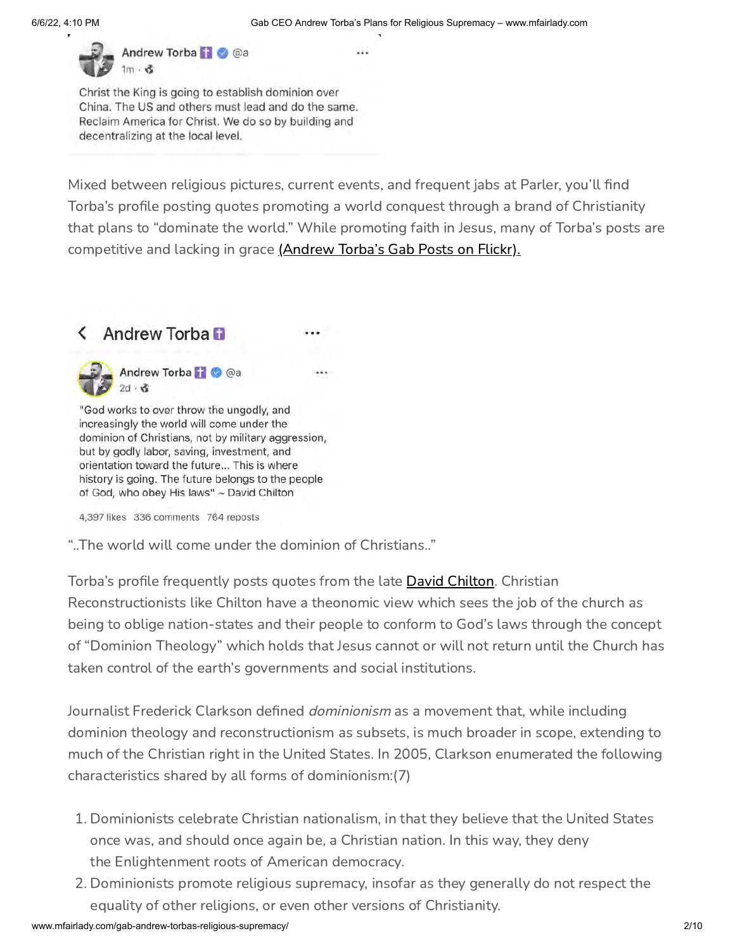Indrew Torba

Christ the King is going to establish dominion over China. The US and others must lead and do the same. Reclaim America for Christ. We do so by building and decentralizing at the local level.

Mixed between religious pictures, current events, and frequent jabs at Parler, you'll find Torba's profile posting quotes promoting a world conquest through a brand of Christianity that plans to "dominate the world." While promoting faith in Jesus, many of Torba's posts are competitive and lacking in grace [\(Andrew Torba's Gab Posts on Flickr\).](https://www.flickr.com/photos/mfairlady/albums/72157717197865763)

## < Andrew Torba F

Andrew Torba 11 @ @a

"God works to over throw the ungodly, and increasingly the world will come under the dominion of Christians, not by military aggression, but by godly labor, saving, investment, and orientation toward the future... This is where history is going. The future belongs to the people of God, who obey His laws" ~ David Chilton

4,397 likes 336 comments 764 reposts

"..The world will come under the dominion of Christians.."

Torba's profile frequently posts quotes from the late **David Chilton**. Christian Reconstructionists like Chilton have a theonomic view which sees the job of the church as being to oblige nation-states and their people to conform to God's laws through the concept of "Dominion Theology" which holds that Jesus cannot or will not return until the Church has taken control of the earth's governments and social institutions.

Journalist Frederick Clarkson defined *dominionism* as a movement that, while including dominion theology and reconstructionism as subsets, is much broader in scope, extending to much of the Christian right in the United States. In 2005, Clarkson enumerated the following characteristics shared by all forms of dominionism:(7)

- 1. Dominionists celebrate Christian nationalism, in that they believe that the United States once was, and should once again be, a Christian nation. In this way, they deny the Enlightenment roots of American democracy.
- 2. Dominionists promote religious supremacy, insofar as they generally do not respect the equality of other religions, or even other versions of Christianity.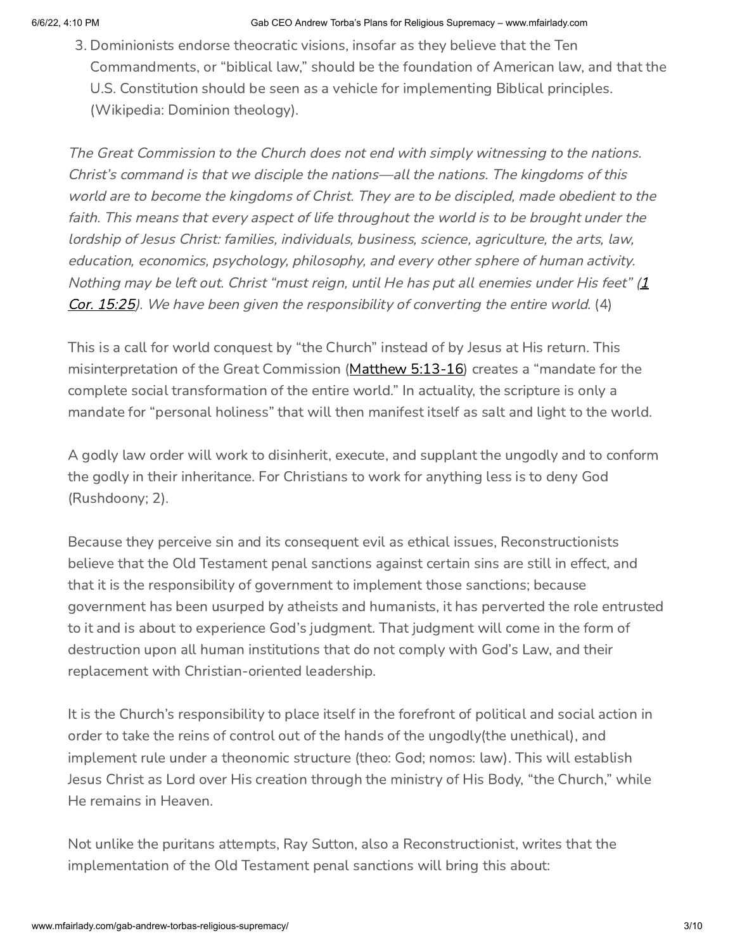3. Dominionists endorse theocratic visions, insofar as they believe that the Ten Commandments, or "biblical law," should be the foundation of American law, and that the U.S. Constitution should be seen as a vehicle for implementing Biblical principles. (Wikipedia: Dominion theology).

The Great Commission to the Church does not end with simply witnessing to the nations. Christ's command is that we disciple the nations—all the nations. The kingdoms of this world are to become the kingdoms of Christ. They are to be discipled, made obedient to the faith. This means that every aspect of life throughout the world is to be brought under the lordship of Jesus Christ: families, individuals, business, science, agriculture, the arts, law, education, economics, psychology, philosophy, and every other sphere of human activity. Nothing may be left out. Christ "must reign, until He has put all enemies under His feet"  $(1)$ Cor. 15:25). We have been given the responsibility of converting the entire world. (4)

This is a call for world conquest by "the Church" instead of by Jesus at His return. This misinterpretation of the Great Commission ([Matthew 5:13-16\)](https://biblia.com/bible/niv/Matt%205.13-16) creates a "mandate for the complete social transformation of the entire world." In actuality, the scripture is only a mandate for "personal holiness" that will then manifest itself as salt and light to the world.

A godly law order will work to disinherit, execute, and supplant the ungodly and to conform the godly in their inheritance. For Christians to work for anything less is to deny God (Rushdoony; 2).

Because they perceive sin and its consequent evil as ethical issues, Reconstructionists believe that the Old Testament penal sanctions against certain sins are still in effect, and that it is the responsibility of government to implement those sanctions; because government has been usurped by atheists and humanists, it has perverted the role entrusted to it and is about to experience God's judgment. That judgment will come in the form of destruction upon all human institutions that do not comply with God's Law, and their replacement with Christian-oriented leadership.

It is the Church's responsibility to place itself in the forefront of political and social action in order to take the reins of control out of the hands of the ungodly(the unethical), and implement rule under a theonomic structure (theo: God; nomos: law). This will establish Jesus Christ as Lord over His creation through the ministry of His Body, "the Church," while He remains in Heaven.

Not unlike the puritans attempts, Ray Sutton, also a Reconstructionist, writes that the implementation of the Old Testament penal sanctions will bring this about: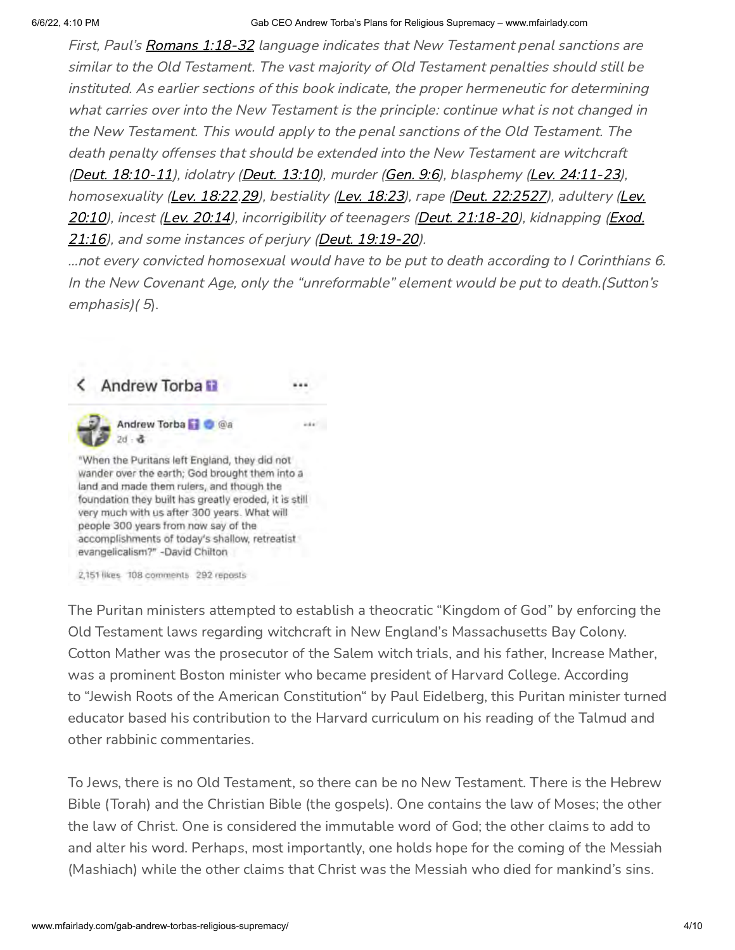First, Paul's [Romans 1:18-32](https://biblia.com/bible/niv/Rom%201.18-32) language indicates that New Testament penal sanctions are similar to the Old Testament. The vast majority of Old Testament penalties should still be instituted. As earlier sections of this book indicate, the proper hermeneutic for determining what carries over into the New Testament is the principle: continue what is not changed in the New Testament. This would apply to the penal sanctions of the Old Testament. The death penalty offenses that should be extended into the New Testament are witchcraft [\(Deut. 18:10-11\)](https://biblia.com/bible/niv/Deut.%2018.10-11), idolatry [\(Deut. 13:10](https://biblia.com/bible/niv/Deut.%2013.10)), murder [\(Gen. 9:6\)](https://biblia.com/bible/niv/Gen.%209.6), blasphemy [\(Lev. 24:11-23](https://biblia.com/bible/niv/Lev.%2024.11-23)), [homosexuality \(](https://biblia.com/bible/niv/Lev.%2020.10)[Lev. 18:2](https://biblia.com/bible/niv/Lev.%2018.23)[2.](https://biblia.com/bible/niv/Lev.%2020.10)[2](https://biblia.com/bible/niv/Lev%2018.29)[9\), bestiality \(](https://biblia.com/bible/niv/Lev.%2020.10)Lev. 18:2[3\), rape \(](https://biblia.com/bible/niv/Lev.%2020.10)[Deut. 22:25](https://biblia.com/bible/niv/Deut.%2022.252)[27\), adultery \(Lev.](https://biblia.com/bible/niv/Lev.%2020.10) [20:10\), incest \(](https://biblia.com/bible/niv/Exod.%2021.16)[Lev. 20:1](https://biblia.com/bible/niv/Lev.%2020.14)[4\), incorrigibility of teenagers \(](https://biblia.com/bible/niv/Exod.%2021.16)[Deut. 21:18-2](https://biblia.com/bible/niv/Deut.%2021.18-20)[0\), kidnapping \(Exod.](https://biblia.com/bible/niv/Exod.%2021.16) 21:16), and some instances of perjury [\(Deut. 19:19-20](https://biblia.com/bible/niv/Deut.%2019.19-20)).

…not every convicted homosexual would have to be put to death according to I Corinthians 6. In the New Covenant Age, only the "unreformable" element would be put to death.(Sutton's emphasis)(5).

ida ...

## < Andrew Torba D



"When the Puritans left England, they did not wander over the earth; God brought them into a land and made them rulers, and though the foundation they built has greatly eroded, it is still very much with us after 300 years. What will people 300 years from now say of the accomplishments of today's shallow, retreatist evangelicalism?" -David Chilton

2,151 likes 108 comments 292 reposts

The Puritan ministers attempted to establish a theocratic "Kingdom of God" by enforcing the Old Testament laws regarding witchcraft in New England's Massachusetts Bay Colony. Cotton Mather was the prosecutor of the Salem witch trials, and his father, Increase Mather, was a prominent Boston minister who became president of Harvard College. According to "Jewish Roots of the American Constitution" by Paul Eidelberg, this Puritan minister turned educator based his contribution to the Harvard curriculum on his reading of the Talmud and other rabbinic commentaries.

To Jews, there is no Old Testament, so there can be no New Testament. There is the Hebrew Bible (Torah) and the Christian Bible (the gospels). One contains the law of Moses; the other the law of Christ. One is considered the immutable word of God; the other claims to add to and alter his word. Perhaps, most importantly, one holds hope for the coming of the Messiah (Mashiach) while the other claims that Christ was the Messiah who died for mankind's sins.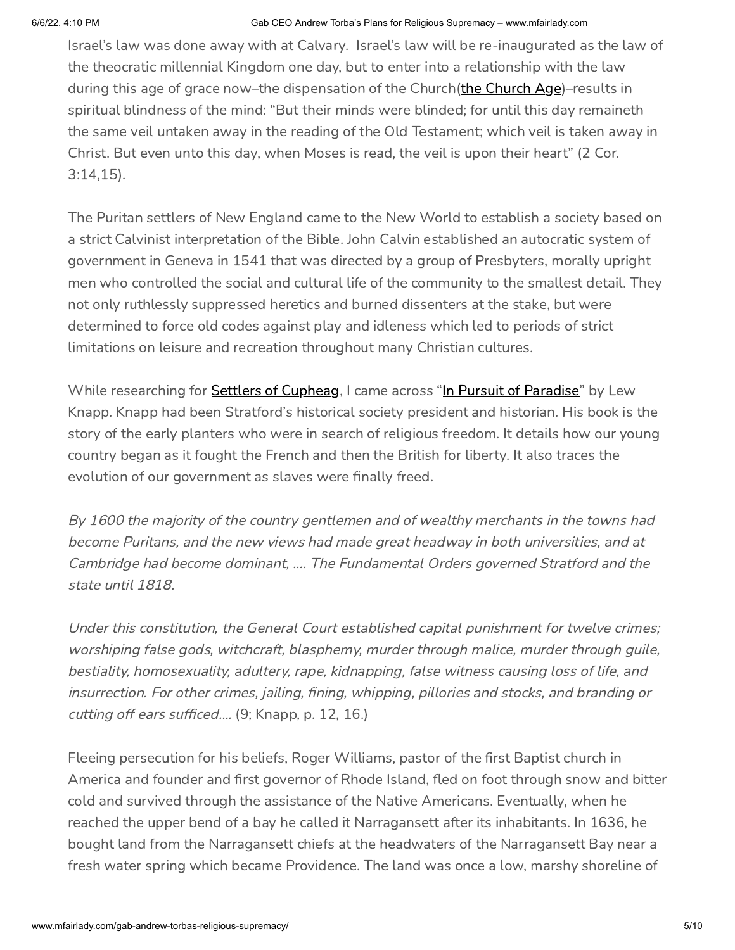Israel's law was done away with at Calvary. Israel's law will be re-inaugurated as the law of the theocratic millennial Kingdom one day, but to enter into a relationship with the law during this age of grace now–the dispensation of the Church[\(the Church Age\)](https://www.mfairlady.com/church-age/)–results in spiritual blindness of the mind: "But their minds were blinded; for until this day remaineth the same veil untaken away in the reading of the Old Testament; which veil is taken away in Christ. But even unto this day, when Moses is read, the veil is upon their heart" (2 Cor. 3:14,15).

The Puritan settlers of New England came to the New World to establish a society based on a strict Calvinist interpretation of the Bible. John Calvin established an autocratic system of government in Geneva in 1541 that was directed by a group of Presbyters, morally upright men who controlled the social and cultural life of the community to the smallest detail. They not only ruthlessly suppressed heretics and burned dissenters at the stake, but were determined to force old codes against play and idleness which led to periods of strict limitations on leisure and recreation throughout many Christian cultures.

While researching for **Settlers of Cupheag**, I came across "[In Pursuit of Paradise"](https://www.amazon.com/Pursuit-Paradise-History-Stratford-Connecticut/dp/0914659421) by Lew Knapp. Knapp had been Stratford's historical society president and historian. His book is the story of the early planters who were in search of religious freedom. It details how our young country began as it fought the French and then the British for liberty. It also traces the evolution of our government as slaves were finally freed.

By 1600 the majority of the country gentlemen and of wealthy merchants in the towns had become Puritans, and the new views had made great headway in both universities, and at Cambridge had become dominant, …. The Fundamental Orders governed Stratford and the state until 1818.

Under this constitution, the General Court established capital punishment for twelve crimes; worshiping false gods, witchcraft, blasphemy, murder through malice, murder through guile, bestiality, homosexuality, adultery, rape, kidnapping, false witness causing loss of life, and insurrection. For other crimes, jailing, fining, whipping, pillories and stocks, and branding or cutting off ears sufficed…. (9; Knapp, p. 12, 16.)

Fleeing persecution for his beliefs, Roger Williams, pastor of the first Baptist church in America and founder and first governor of Rhode Island, fled on foot through snow and bitter cold and survived through the assistance of the Native Americans. Eventually, when he reached the upper bend of a bay he called it Narragansett after its inhabitants. In 1636, he bought land from the Narragansett chiefs at the headwaters of the Narragansett Bay near a fresh water spring which became Providence. The land was once a low, marshy shoreline of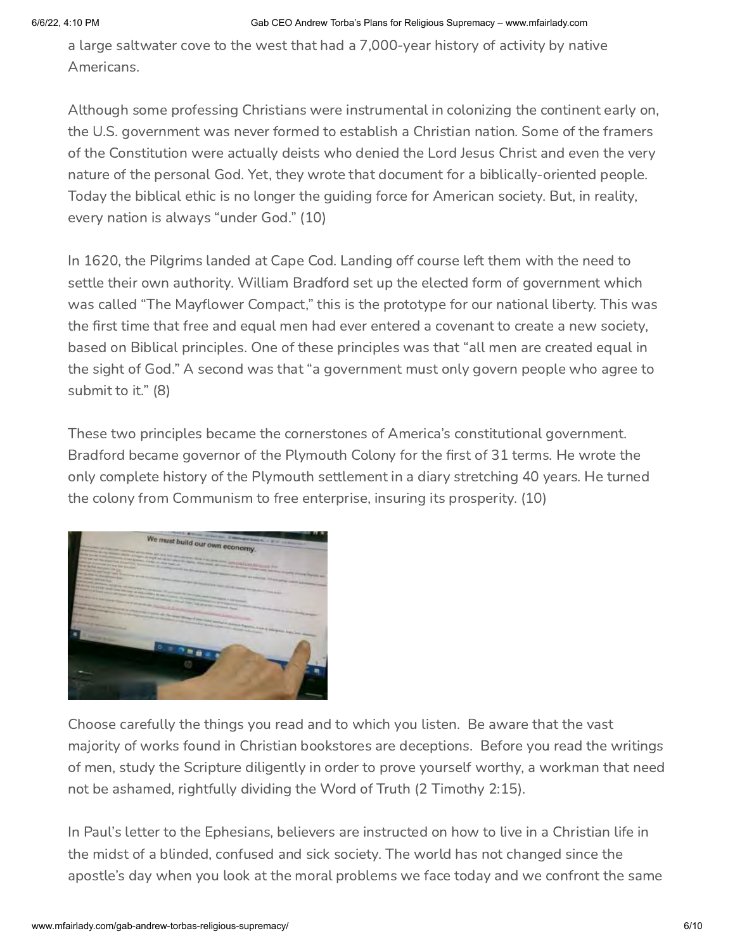a large saltwater cove to the west that had a 7,000-year history of activity by native Americans.

Although some professing Christians were instrumental in colonizing the continent early on, the U.S. government was never formed to establish a Christian nation. Some of the framers of the Constitution were actually deists who denied the Lord Jesus Christ and even the very nature of the personal God. Yet, they wrote that document for a biblically-oriented people. Today the biblical ethic is no longer the guiding force for American society. But, in reality, every nation is always "under God." (10)

In 1620, the Pilgrims landed at Cape Cod. Landing off course left them with the need to settle their own authority. William Bradford set up the elected form of government which was called "The Mayflower Compact," this is the prototype for our national liberty. This was the first time that free and equal men had ever entered a covenant to create a new society, based on Biblical principles. One of these principles was that "all men are created equal in the sight of God." A second was that "a government must only govern people who agree to submit to it." (8)

These two principles became the cornerstones of America's constitutional government. Bradford became governor of the Plymouth Colony for the first of 31 terms. He wrote the only complete history of the Plymouth settlement in a diary stretching 40 years. He turned the colony from Communism to free enterprise, insuring its prosperity. (10)



Choose carefully the things you read and to which you listen. Be aware that the vast majority of works found in Christian bookstores are deceptions. Before you read the writings of men, study the Scripture diligently in order to prove yourself worthy, a workman that need not be ashamed, rightfully dividing the Word of Truth (2 Timothy 2:15).

In Paul's letter to the Ephesians, believers are instructed on how to live in a Christian life in the midst of a blinded, confused and sick society. The world has not changed since the apostle's day when you look at the moral problems we face today and we confront the same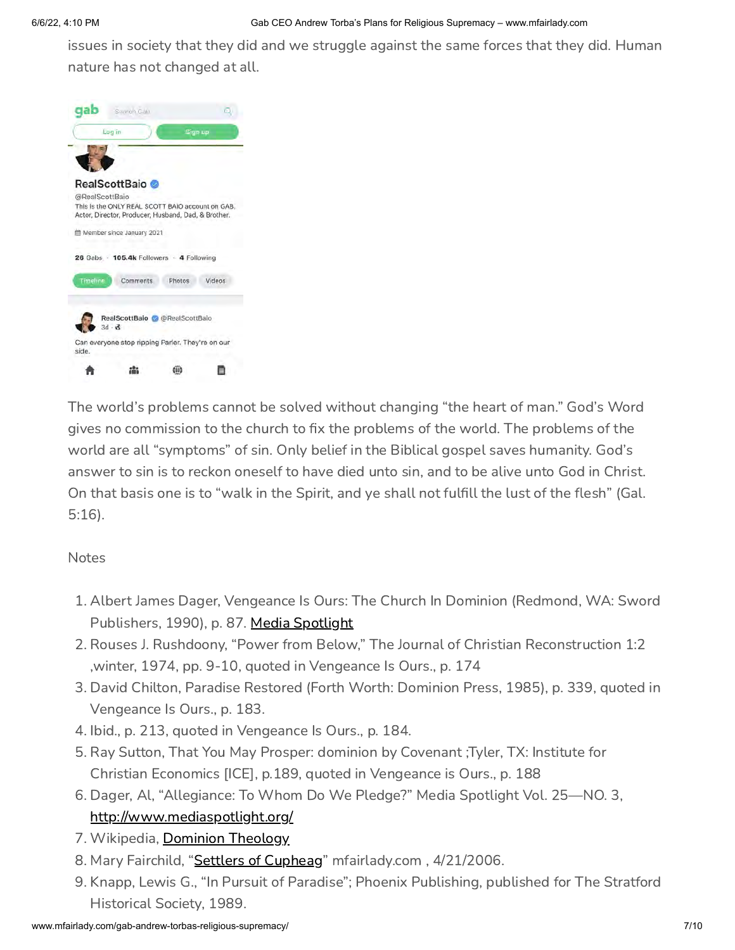issues in society that they did and we struggle against the same forces that they did. Human nature has not changed at all.



The world's problems cannot be solved without changing "the heart of man." God's Word gives no commission to the church to fix the problems of the world. The problems of the world are all "symptoms" of sin. Only belief in the Biblical gospel saves humanity. God's answer to sin is to reckon oneself to have died unto sin, and to be alive unto God in Christ. On that basis one is to "walk in the Spirit, and ye shall not fulfill the lust of the flesh" (Gal. 5:16).

Notes

- 1. Albert James Dager, Vengeance Is Ours: The Church In Dominion (Redmond, WA: Sword Publishers, 1990), p. 87. [Media Spotlight](http://www.mediaspotlight.org/)
- 2. Rouses J. Rushdoony, "Power from Below," The Journal of Christian Reconstruction 1:2 ,winter, 1974, pp. 9-10, quoted in Vengeance Is Ours., p. 174
- 3. David Chilton, Paradise Restored (Forth Worth: Dominion Press, 1985), p. 339, quoted in Vengeance Is Ours., p. 183.
- 4. Ibid., p. 213, quoted in Vengeance Is Ours., p. 184.
- 5. Ray Sutton, That You May Prosper: dominion by Covenant ;Tyler, TX: Institute for Christian Economics [ICE], p.189, quoted in Vengeance is Ours., p. 188
- 6. Dager, Al, "Allegiance: To Whom Do We Pledge?" Media Spotlight Vol. 25—NO. 3, <http://www.mediaspotlight.org/>
- 7. Wikipedia, [Dominion Theology](https://en.wikipedia.org/wiki/Dominion_theology)
- 8. Mary Fairchild, "[Settlers of Cupheag"](http://www.mfairlady.com/fairchild-genealogy/) mfairlady.com, 4/21/2006.
- 9. Knapp, Lewis G., "In Pursuit of Paradise"; Phoenix Publishing, published for The Stratford Historical Society, 1989.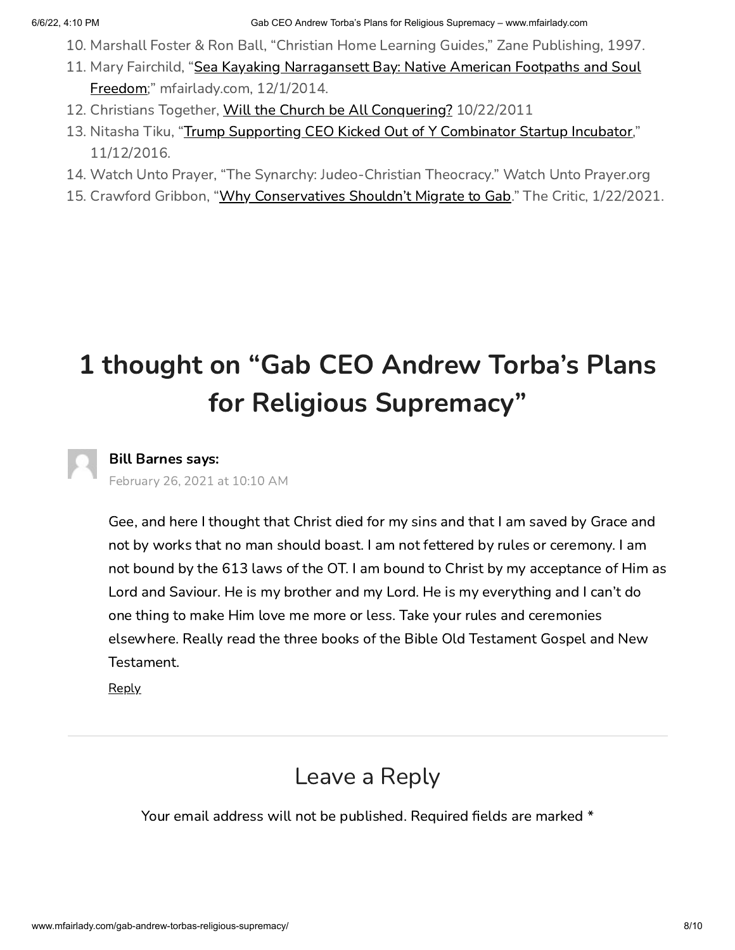- 10. Marshall Foster & Ron Ball, "Christian Home Learning Guides," Zane Publishing, 1997.
- 11. [Mary Fairchild, "Sea Kayaking Narragansett Bay: Native American Footpaths and Soul](http://www.mfairlady.com/narragansett-bay-kayaking/) Freedom;" mfairlady.com, 12/1/2014.
- 12. Christians Together, [Will the Church be All Conquering?](https://www.christianstogether.net/Articles/285487/Christians_Together_in/Survival_Kit/Will_the_church.aspx) 10/22/2011
- 13. Nitasha Tiku, ["Trump Supporting CEO Kicked Out of Y Combinator Startup Incubator](https://www.buzzfeednews.com/article/nitashatiku/trump-supporting-startup-ceo-kicked-out-of-y-combinator)," 11/12/2016.
- 14. Watch Unto Prayer, "The Synarchy: Judeo-Christian Theocracy." Watch Unto Prayer.org
- 15. Crawford Gribbon, "[Why Conservatives Shouldn't Migrate to Gab](https://thecritic.co.uk/why-conservatives-shouldnt-migrate-to-gab/)." The Critic, 1/22/2021.

## 1 thought on "Gab CEO Andrew Torba's Plans for Religious Supremacy"

### <span id="page-9-0"></span>Bill Barnes says:

[February 26, 2021 at 10:10 AM](#page-9-0)

Gee, and here I thought that Christ died for my sins and that I am saved by Grace and not by works that no man should boast. I am not fettered by rules or ceremony. I am not bound by the 613 laws of the OT. I am bound to Christ by my acceptance of Him as Lord and Saviour. He is my brother and my Lord. He is my everything and I can't do one thing to make Him love me more or less. Take your rules and ceremonies elsewhere. Really read the three books of the Bible Old Testament Gospel and New Testament.

**[Reply](http://www.mfairlady.com/gab-andrew-torbas-religious-supremacy/?replytocom=4427#respond)** 

## Leave a Reply

Your email address will not be published. Required fields are marked \*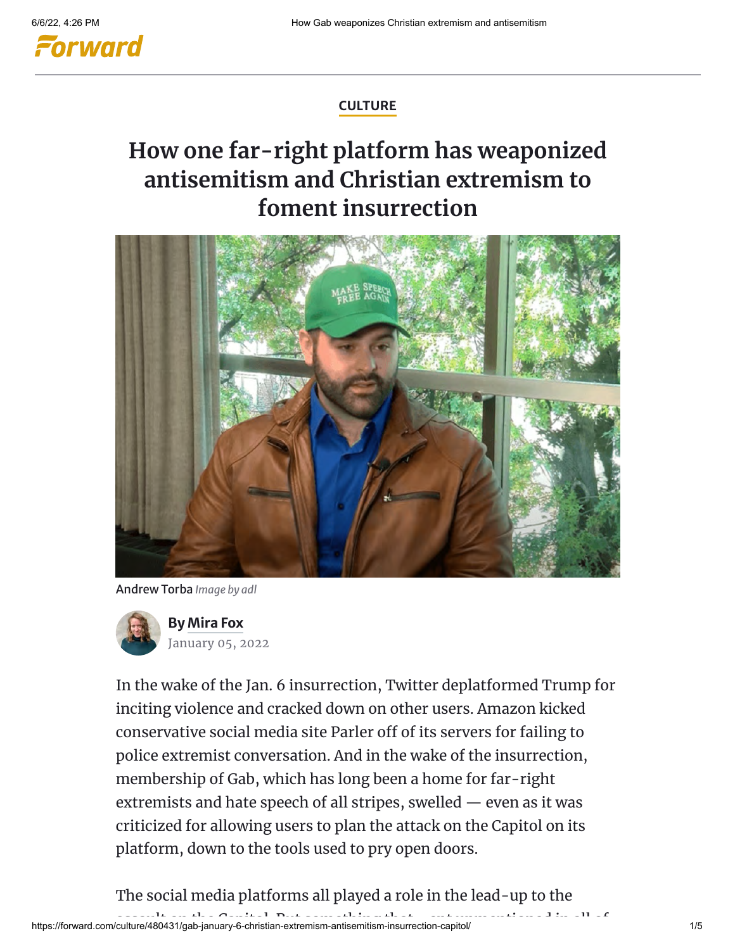

### **[CULTURE](https://forward.com/culture/)**

## **How one far-right platform has weaponized antisemitism and Christian extremism to foment insurrection**



Andrew Torba *Image by adl*



In the wake of the Jan. 6 insurrection, Twitter deplatformed Trump for inciting violence and cracked down on other users. Amazon kicked conservative social media site Parler off of its servers for failing to police extremist conversation. And in the wake of the insurrection, membership of Gab, which has long been a home for far-right extremists and hate speech of all stripes, swelled — even as it was criticized for allowing users to plan the attack on the Capitol on its platform, down to the tools used to pry open doors.

The social media platforms all played a role in the lead-up to the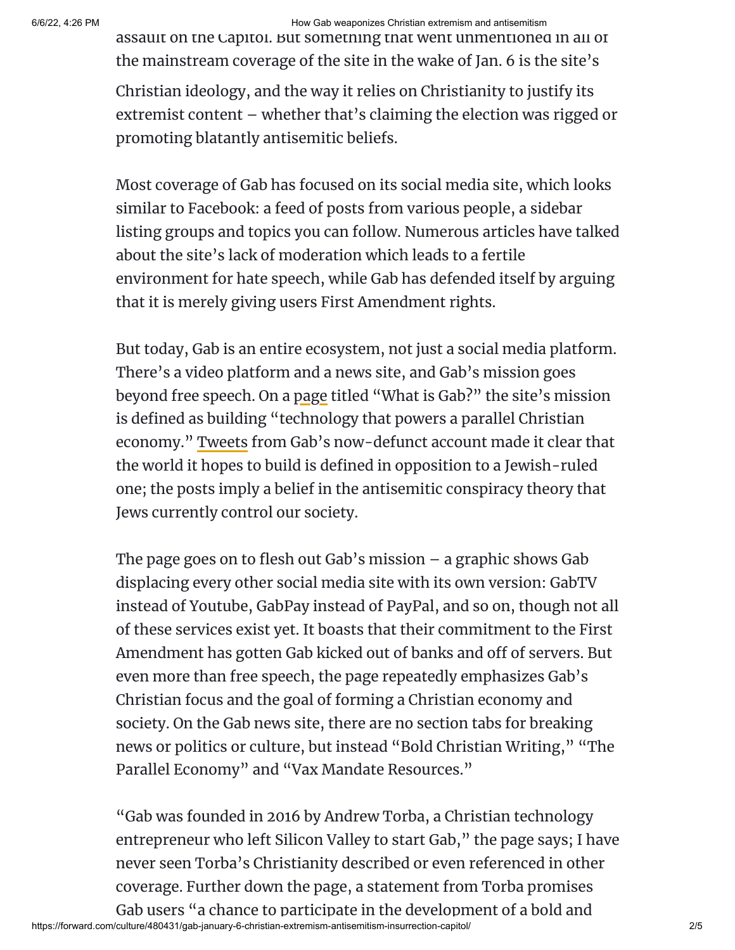### 6/6/22, 4:26 PM How Gab weaponizes Christian extremism and antisemitism

assault on the Capitol. But something that went unmentioned in all of the mainstream coverage of the site in the wake of Jan. 6 is the site's

Christian ideology, and the way it relies on Christianity to justify its extremist content – whether that's claiming the election was rigged or promoting blatantly antisemitic beliefs.

Most coverage of Gab has focused on its social media site, which looks similar to Facebook: a feed of posts from various people, a sidebar listing groups and topics you can follow. Numerous articles have talked about the site's lack of moderation which leads to a fertile environment for hate speech, while Gab has defended itself by arguing that it is merely giving users First Amendment rights.

But today, Gab is an entire ecosystem, not just a social media platform. There's a video platform and a news site, and Gab's mission goes beyond free speech. On a [page](https://news.gab.com/what-is-gab/) titled "What is Gab?" the site's mission is defined as building "technology that powers a parallel Christian economy." [Tweets](https://www.adl.org/blog/gab-ceo-andrew-torba-broadcasts-his-antisemitism-across-social-media-platforms) from Gab's now-defunct account made it clear that the world it hopes to build is defined in opposition to a Jewish-ruled one; the posts imply a belief in the antisemitic conspiracy theory that Jews currently control our society.

The page goes on to flesh out Gab's mission – a graphic shows Gab displacing every other social media site with its own version: GabTV instead of Youtube, GabPay instead of PayPal, and so on, though not all of these services exist yet. It boasts that their commitment to the First Amendment has gotten Gab kicked out of banks and off of servers. But even more than free speech, the page repeatedly emphasizes Gab's Christian focus and the goal of forming a Christian economy and society. On the Gab news site, there are no section tabs for breaking news or politics or culture, but instead "Bold Christian Writing," "The Parallel Economy" and "Vax Mandate Resources."

"Gab was founded in 2016 by Andrew Torba, a Christian technology entrepreneur who left Silicon Valley to start Gab," the page says; I have never seen Torba's Christianity described or even referenced in other coverage. Further down the page, a statement from Torba promises Gab users "a chance to participate in the development of a bold and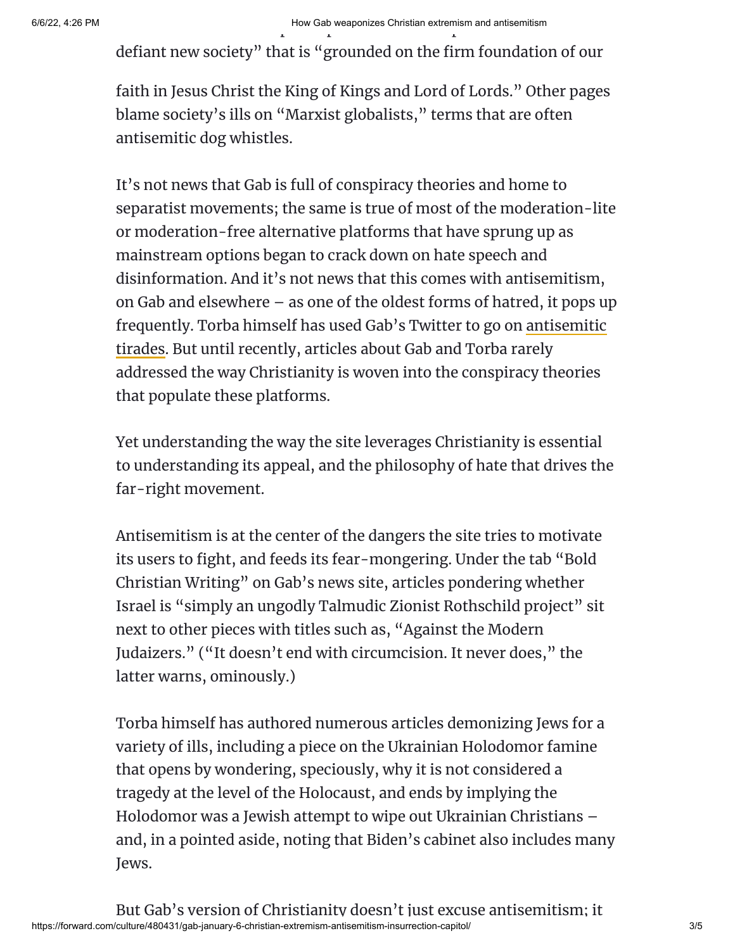## 6/6/22, 4:26 PM How Gab weaponizes Christian extremism and antisemitism p p p

defiant new society" that is "grounded on the firm foundation of our

faith in Jesus Christ the King of Kings and Lord of Lords." Other pages blame society's ills on "Marxist globalists," terms that are often antisemitic dog whistles.

It's not news that Gab is full of conspiracy theories and home to separatist movements; the same is true of most of the moderation-lite or moderation-free alternative platforms that have sprung up as mainstream options began to crack down on hate speech and disinformation. And it's not news that this comes with antisemitism, on Gab and elsewhere – as one of the oldest forms of hatred, it pops up [frequently. Torba himself has used Gab's Twitter to go on antisemitic](https://www.dailydot.com/debug/andrew-torba-deactivates-gab-twitter-antisemitism/) tirades. But until recently, articles about Gab and Torba rarely addressed the way Christianity is woven into the conspiracy theories that populate these platforms.

Yet understanding the way the site leverages Christianity is essential to understanding its appeal, and the philosophy of hate that drives the far-right movement.

Antisemitism is at the center of the dangers the site tries to motivate its users to fight, and feeds its fear-mongering. Under the tab "Bold Christian Writing" on Gab's news site, articles pondering whether Israel is "simply an ungodly Talmudic Zionist Rothschild project" sit next to other pieces with titles such as, "Against the Modern Judaizers." ("It doesn't end with circumcision. It never does," the latter warns, ominously.)

Torba himself has authored numerous articles demonizing Jews for a variety of ills, including a piece on the Ukrainian Holodomor famine that opens by wondering, speciously, why it is not considered a tragedy at the level of the Holocaust, and ends by implying the Holodomor was a Jewish attempt to wipe out Ukrainian Christians – and, in a pointed aside, noting that Biden's cabinet also includes many Jews.